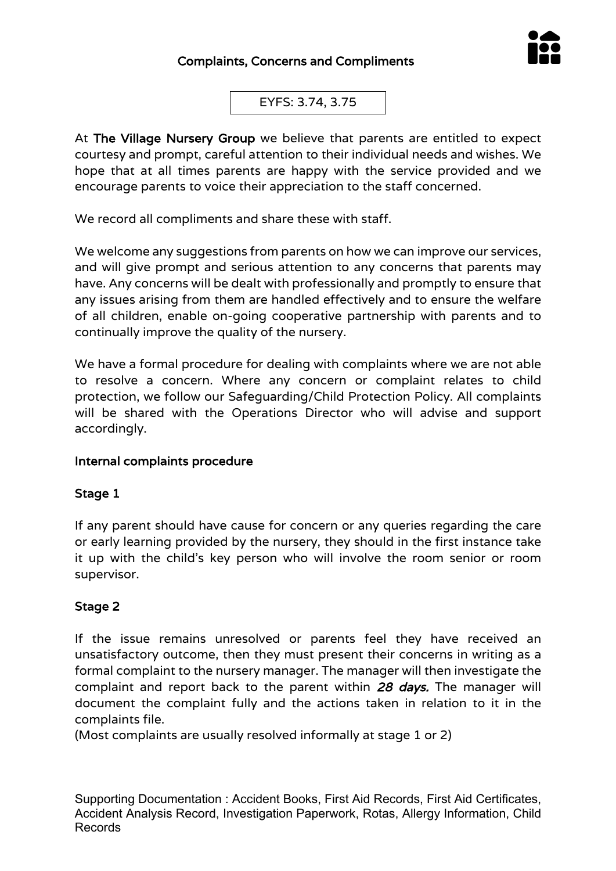

EYFS: 3.74, 3.75

At The Village Nursery Group we believe that parents are entitled to expect courtesy and prompt, careful attention to their individual needs and wishes. We hope that at all times parents are happy with the service provided and we encourage parents to voice their appreciation to the staff concerned.

We record all compliments and share these with staff.

We welcome any suggestions from parents on how we can improve our services, and will give prompt and serious attention to any concerns that parents may have. Any concerns will be dealt with professionally and promptly to ensure that any issues arising from them are handled effectively and to ensure the welfare of all children, enable on-going cooperative partnership with parents and to continually improve the quality of the nursery.

We have a formal procedure for dealing with complaints where we are not able to resolve a concern. Where any concern or complaint relates to child protection, we follow our Safeguarding/Child Protection Policy. All complaints will be shared with the Operations Director who will advise and support accordingly.

### Internal complaints procedure

### Stage 1

If any parent should have cause for concern or any queries regarding the care or early learning provided by the nursery, they should in the first instance take it up with the child's key person who will involve the room senior or room supervisor.

### Stage 2

If the issue remains unresolved or parents feel they have received an unsatisfactory outcome, then they must present their concerns in writing as a formal complaint to the nursery manager. The manager will then investigate the complaint and report back to the parent within 28 days. The manager will document the complaint fully and the actions taken in relation to it in the complaints file.

(Most complaints are usually resolved informally at stage 1 or 2)

Supporting Documentation : Accident Books, First Aid Records, First Aid Certificates, Accident Analysis Record, Investigation Paperwork, Rotas, Allergy Information, Child Records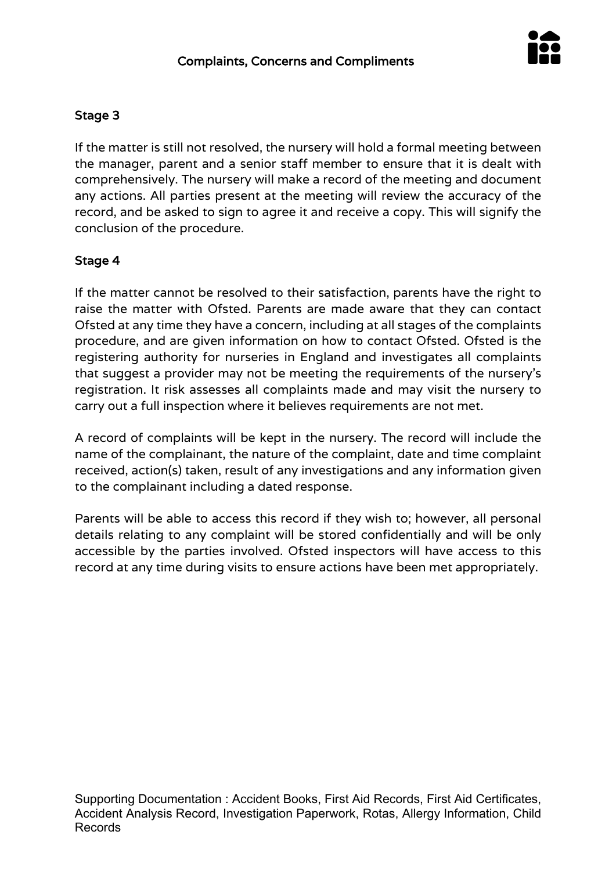

# Stage 3

If the matter is still not resolved, the nursery will hold a formal meeting between the manager, parent and a senior staff member to ensure that it is dealt with comprehensively. The nursery will make a record of the meeting and document any actions. All parties present at the meeting will review the accuracy of the record, and be asked to sign to agree it and receive a copy. This will signify the conclusion of the procedure.

# Stage 4

If the matter cannot be resolved to their satisfaction, parents have the right to raise the matter with Ofsted. Parents are made aware that they can contact Ofsted at any time they have a concern, including at all stages of the complaints procedure, and are given information on how to contact Ofsted. Ofsted is the registering authority for nurseries in England and investigates all complaints that suggest a provider may not be meeting the requirements of the nursery's registration. It risk assesses all complaints made and may visit the nursery to carry out a full inspection where it believes requirements are not met.

A record of complaints will be kept in the nursery. The record will include the name of the complainant, the nature of the complaint, date and time complaint received, action(s) taken, result of any investigations and any information given to the complainant including a dated response.

Parents will be able to access this record if they wish to; however, all personal details relating to any complaint will be stored confidentially and will be only accessible by the parties involved. Ofsted inspectors will have access to this record at any time during visits to ensure actions have been met appropriately.